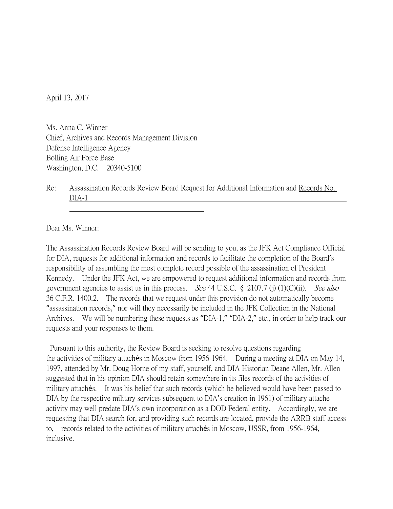April 13, 2017

Ms. Anna C. Winner Chief, Archives and Records Management Division Defense Intelligence Agency Bolling Air Force Base Washington, D.C. 20340-5100

Re: Assassination Records Review Board Request for Additional Information and Records No. DIA-1

Dear Ms. Winner:

The Assassination Records Review Board will be sending to you, as the JFK Act Compliance Official for DIA, requests for additional information and records to facilitate the completion of the Board's responsibility of assembling the most complete record possible of the assassination of President Kennedy. Under the JFK Act, we are empowered to request additional information and records from government agencies to assist us in this process. *See* 44 U.S.C. § 2107.7 (j) (1)(C)(ii). *See also* 36 C.F.R. 1400.2. The records that we request under this provision do not automatically become "assassination records," nor will they necessarily be included in the JFK Collection in the National Archives. We will be numbering these requests as "DIA-1," "DIA-2," etc., in order to help track our requests and your responses to them.

Pursuant to this authority, the Review Board is seeking to resolve questions regarding the activities of military attachés in Moscow from 1956-1964. During a meeting at DIA on May 14, 1997, attended by Mr. Doug Horne of my staff, yourself, and DIA Historian Deane Allen, Mr. Allen suggested that in his opinion DIA should retain somewhere in its files records of the activities of military attachés. It was his belief that such records (which he believed would have been passed to DIA by the respective military services subsequent to DIA's creation in 1961) of military attache activity may well predate DIA's own incorporation as a DOD Federal entity. Accordingly, we are requesting that DIA search for, and providing such records are located, provide the ARRB staff access to, records related to the activities of military attachés in Moscow, USSR, from 1956-1964, inclusive.